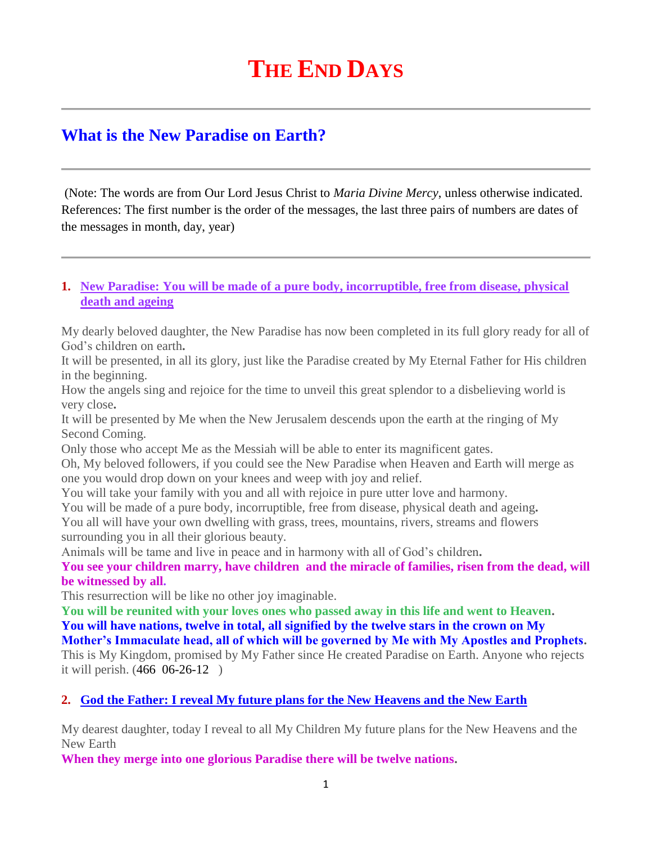# **THE END DAYS**

## **What is the New Paradise on Earth?**

(Note: The words are from Our Lord Jesus Christ to *Maria Divine Mercy*, unless otherwise indicated. References: The first number is the order of the messages, the last three pairs of numbers are dates of the messages in month, day, year)

#### **1. [New Paradise: You will be made of a pure body, incorruptible, free from disease, physical](http://www.thewarningsecondcoming.com/new-paradise-you-will-be-made-of-a-pure-body-incorruptible-free-from-disease-physical-death-and-ageing/)  [death and ageing](http://www.thewarningsecondcoming.com/new-paradise-you-will-be-made-of-a-pure-body-incorruptible-free-from-disease-physical-death-and-ageing/)**

My dearly beloved daughter, the New Paradise has now been completed in its full glory ready for all of God's children on earth**.**

It will be presented, in all its glory, just like the Paradise created by My Eternal Father for His children in the beginning.

How the angels sing and rejoice for the time to unveil this great splendor to a disbelieving world is very close**.**

It will be presented by Me when the New Jerusalem descends upon the earth at the ringing of My Second Coming.

Only those who accept Me as the Messiah will be able to enter its magnificent gates.

Oh, My beloved followers, if you could see the New Paradise when Heaven and Earth will merge as one you would drop down on your knees and weep with joy and relief.

You will take your family with you and all with rejoice in pure utter love and harmony.

You will be made of a pure body, incorruptible, free from disease, physical death and ageing**.** You all will have your own dwelling with grass, trees, mountains, rivers, streams and flowers surrounding you in all their glorious beauty.

Animals will be tame and live in peace and in harmony with all of God's children**.**

**You see your children marry, have children and the miracle of families, risen from the dead, will be witnessed by all.**

This resurrection will be like no other joy imaginable.

**You will be reunited with your loves ones who passed away in this life and went to Heaven. You will have nations, twelve in total, all signified by the twelve stars in the crown on My** 

**Mother's Immaculate head, all of which will be governed by Me with My Apostles and Prophets.** This is My Kingdom, promised by My Father since He created Paradise on Earth. Anyone who rejects it will perish. (466 06-26-12 )

## **2. [God the Father: I reveal My future plans for the New Heavens and the New Earth](http://www.thewarningsecondcoming.com/god-the-father-i-reveal-my-future-plans-for-the-new-heavens-and-the-new-earth/)**

My dearest daughter, today I reveal to all My Children My future plans for the New Heavens and the New Earth

**When they merge into one glorious Paradise there will be twelve nations.**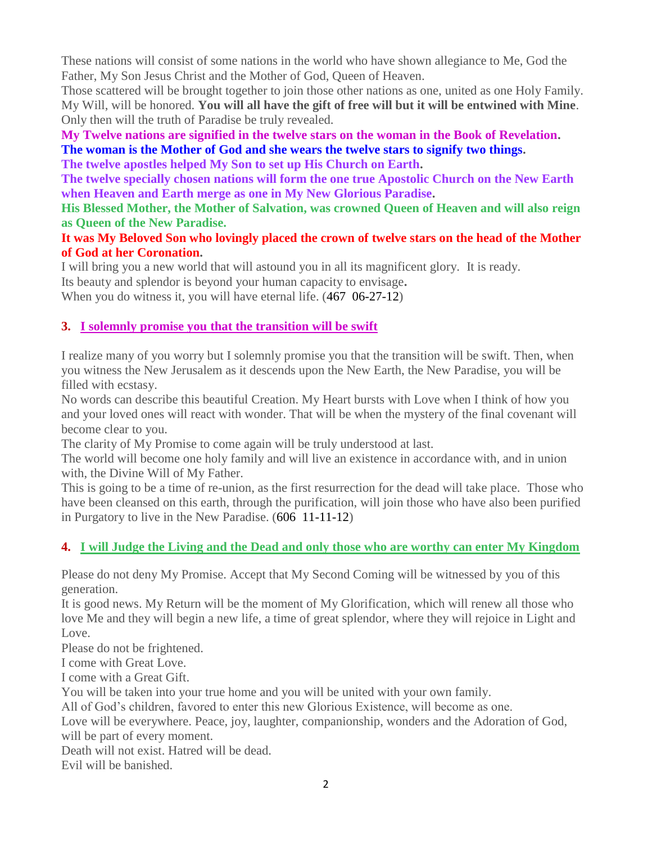These nations will consist of some nations in the world who have shown allegiance to Me, God the Father, My Son Jesus Christ and the Mother of God, Queen of Heaven.

Those scattered will be brought together to join those other nations as one, united as one Holy Family. My Will, will be honored. **You will all have the gift of free will but it will be entwined with Mine**. Only then will the truth of Paradise be truly revealed.

## **My Twelve nations are signified in the twelve stars on the woman in the Book of Revelation. The woman is the Mother of God and she wears the twelve stars to signify two things.**

**The twelve apostles helped My Son to set up His Church on Earth.**

**The twelve specially chosen nations will form the one true Apostolic Church on the New Earth when Heaven and Earth merge as one in My New Glorious Paradise.**

**His Blessed Mother, the Mother of Salvation, was crowned Queen of Heaven and will also reign as Queen of the New Paradise.**

## **It was My Beloved Son who lovingly placed the crown of twelve stars on the head of the Mother of God at her Coronation.**

I will bring you a new world that will astound you in all its magnificent glory. It is ready. Its beauty and splendor is beyond your human capacity to envisage**.** When you do witness it, you will have eternal life.  $(467 \t 06-27-12)$ 

## **3. [I solemnly promise you that the transition will be swift](http://www.thewarningsecondcoming.com/i-solemnly-promise-you-that-the-transition-will-be-swift/)**

I realize many of you worry but I solemnly promise you that the transition will be swift. Then, when you witness the New Jerusalem as it descends upon the New Earth, the New Paradise, you will be filled with ecstasy.

No words can describe this beautiful Creation. My Heart bursts with Love when I think of how you and your loved ones will react with wonder. That will be when the mystery of the final covenant will become clear to you.

The clarity of My Promise to come again will be truly understood at last.

The world will become one holy family and will live an existence in accordance with, and in union with, the Divine Will of My Father.

This is going to be a time of re-union, as the first resurrection for the dead will take place. Those who have been cleansed on this earth, through the purification, will join those who have also been purified in Purgatory to live in the New Paradise. (606 11-11-12)

## **4. [I will Judge the Living and the Dead and only those who are worthy can enter My Kingdom](http://www.thewarningsecondcoming.com/i-will-judge-the-living-and-the-dead-and-only-those-who-are-worthy-can-enter-my-kingdom/)**

Please do not deny My Promise. Accept that My Second Coming will be witnessed by you of this generation.

It is good news. My Return will be the moment of My Glorification, which will renew all those who love Me and they will begin a new life, a time of great splendor, where they will rejoice in Light and Love.

Please do not be frightened.

I come with Great Love.

I come with a Great Gift.

You will be taken into your true home and you will be united with your own family.

All of God's children, favored to enter this new Glorious Existence, will become as one.

Love will be everywhere. Peace, joy, laughter, companionship, wonders and the Adoration of God, will be part of every moment.

Death will not exist. Hatred will be dead.

Evil will be banished.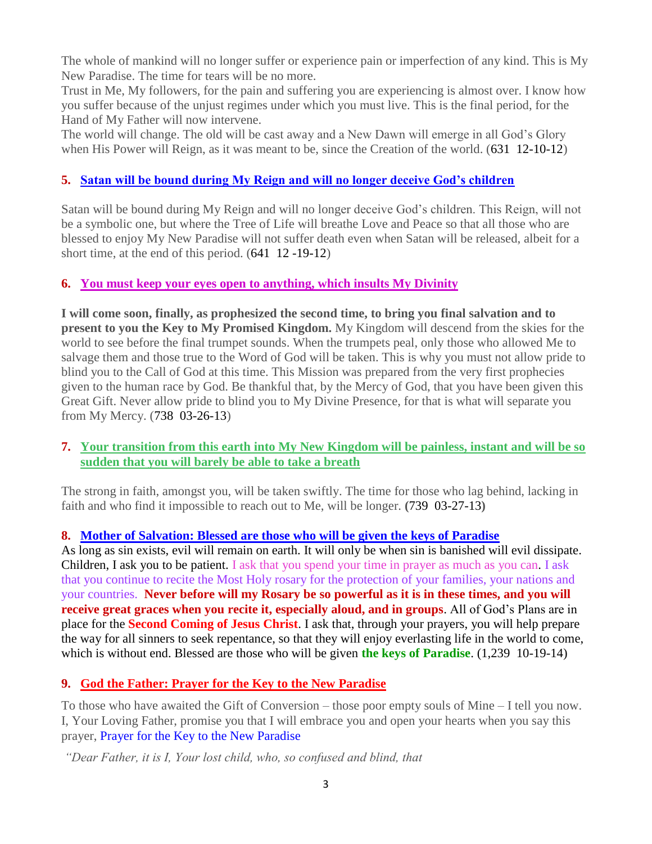The whole of mankind will no longer suffer or experience pain or imperfection of any kind. This is My New Paradise. The time for tears will be no more.

Trust in Me, My followers, for the pain and suffering you are experiencing is almost over. I know how you suffer because of the unjust regimes under which you must live. This is the final period, for the Hand of My Father will now intervene.

The world will change. The old will be cast away and a New Dawn will emerge in all God's Glory when His Power will Reign, as it was meant to be, since the Creation of the world. (631 12-10-12)

## **5. [Satan will be bound during My Reign and will no longer deceive God's children](http://www.thewarningsecondcoming.com/satan-will-be-bound-during-my-reign-and-will-no-longer-deceive-gods-children-2/)**

Satan will be bound during My Reign and will no longer deceive God's children. This Reign, will not be a symbolic one, but where the Tree of Life will breathe Love and Peace so that all those who are blessed to enjoy My New Paradise will not suffer death even when Satan will be released, albeit for a short time, at the end of this period. (641 12 -19-12)

## **6. [You must keep your eyes open to anything, which insults My Divinity](http://www.thewarningsecondcoming.com/you-must-keep-your-eyes-open-to-anything-which-insults-my-divinity/)**

**I will come soon, finally, as prophesized the second time, to bring you final salvation and to present to you the Key to My Promised Kingdom.** My Kingdom will descend from the skies for the world to see before the final trumpet sounds. When the trumpets peal, only those who allowed Me to salvage them and those true to the Word of God will be taken. This is why you must not allow pride to blind you to the Call of God at this time. This Mission was prepared from the very first prophecies given to the human race by God. Be thankful that, by the Mercy of God, that you have been given this Great Gift. Never allow pride to blind you to My Divine Presence, for that is what will separate you from My Mercy. (738 03-26-13)

## **7. [Your transition from this earth into My New Kingdom will be painless, instant and will be so](http://www.thewarningsecondcoming.com/your-transition-from-this-earth-into-my-new-kingdom-will-be-painless-instant-and-will-be-so-sudden-that-you-will-barely-be-able-to-take-a-breath/)  [sudden that you will barely be able to take a breath](http://www.thewarningsecondcoming.com/your-transition-from-this-earth-into-my-new-kingdom-will-be-painless-instant-and-will-be-so-sudden-that-you-will-barely-be-able-to-take-a-breath/)**

The strong in faith, amongst you, will be taken swiftly. The time for those who lag behind, lacking in faith and who find it impossible to reach out to Me, will be longer. **(**739 03-27-13**)**

## **8. [Mother of Salvation: Blessed are those who will be given the keys of Paradise](http://www.thewarningsecondcoming.com/mother-of-salvation-blessed-are-those-who-will-be-given-the-keys-of-paradise/)**

As long as sin exists, evil will remain on earth. It will only be when sin is banished will evil dissipate. Children, I ask you to be patient. I ask that you spend your time in prayer as much as you can. I ask that you continue to recite the Most Holy rosary for the protection of your families, your nations and your countries. **Never before will my Rosary be so powerful as it is in these times, and you will receive great graces when you recite it, especially aloud, and in groups**. All of God's Plans are in place for the **Second Coming of Jesus Christ**. I ask that, through your prayers, you will help prepare the way for all sinners to seek repentance, so that they will enjoy everlasting life in the world to come, which is without end. Blessed are those who will be given **the keys of Paradise**. (1,239 10-19-14)

## **9. [God the Father: Prayer for the Key to the New Paradise](http://www.thewarningsecondcoming.com/god-the-father-prayer-for-the-key-to-the-new-paradise/)**

To those who have awaited the Gift of Conversion – those poor empty souls of Mine – I tell you now. I, Your Loving Father, promise you that I will embrace you and open your hearts when you say this prayer, [Prayer for the Key to the New Paradise](http://www.thewarningsecondcoming.com/god-the-father-prayer-for-the-key-to-the-new-paradise/)

*"Dear Father, it is I, Your lost child, who, so confused and blind, that*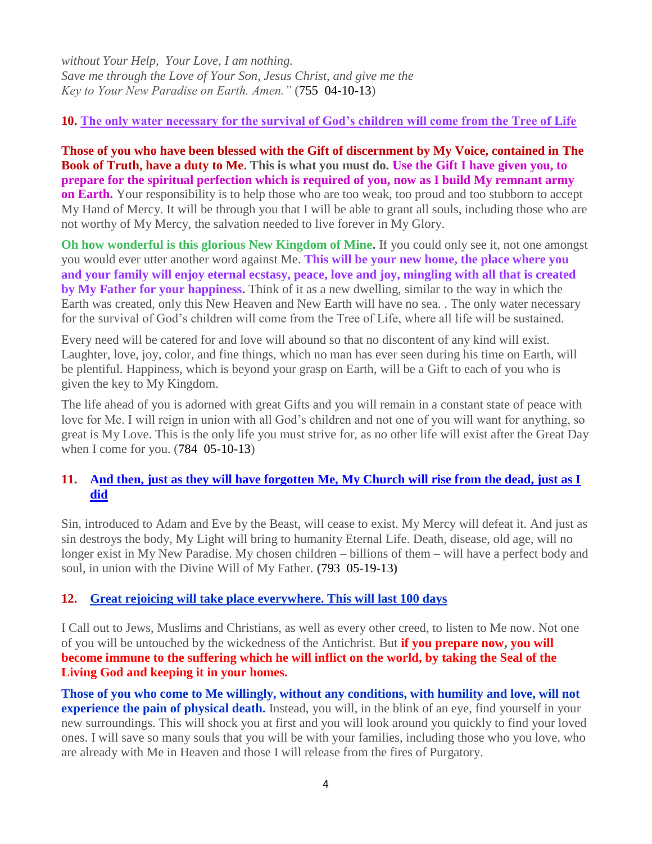*without Your Help, Your Love, I am nothing. Save me through the Love of Your Son, Jesus Christ, and give me the Key to Your New Paradise on Earth. Amen."* (755 04-10-13)

## **10. [The only water necessary for the survival of God's children will come from the Tree of Life](http://www.thewarningsecondcoming.com/the-only-water-necessary-for-the-survival-of-gods-children-will-come-from-the-tree-of-life/)**

**Those of you who have been blessed with the Gift of discernment by My Voice, contained in The Book of Truth, have a duty to Me. This is what you must do. Use the Gift I have given you, to prepare for the spiritual perfection which is required of you, now as I build My remnant army on Earth.** Your responsibility is to help those who are too weak, too proud and too stubborn to accept My Hand of Mercy. It will be through you that I will be able to grant all souls, including those who are not worthy of My Mercy, the salvation needed to live forever in My Glory.

**Oh how wonderful is this glorious New Kingdom of Mine.** If you could only see it, not one amongst you would ever utter another word against Me. **This will be your new home, the place where you and your family will enjoy eternal ecstasy, peace, love and joy, mingling with all that is created by My Father for your happiness.** Think of it as a new dwelling, similar to the way in which the Earth was created, only this New Heaven and New Earth will have no sea. . The only water necessary for the survival of God's children will come from the Tree of Life, where all life will be sustained.

Every need will be catered for and love will abound so that no discontent of any kind will exist. Laughter, love, joy, color, and fine things, which no man has ever seen during his time on Earth, will be plentiful. Happiness, which is beyond your grasp on Earth, will be a Gift to each of you who is given the key to My Kingdom.

The life ahead of you is adorned with great Gifts and you will remain in a constant state of peace with love for Me. I will reign in union with all God's children and not one of you will want for anything, so great is My Love. This is the only life you must strive for, as no other life will exist after the Great Day when I come for you. (784 05-10-13)

## **11. [And then, just as they will have forgotten Me, My Church will rise from the dead, just as I](http://www.thewarningsecondcoming.com/and-then-just-as-they-will-have-forgotten-me-my-church-will-rise-from-the-dead-just-as-i-did/)  [did](http://www.thewarningsecondcoming.com/and-then-just-as-they-will-have-forgotten-me-my-church-will-rise-from-the-dead-just-as-i-did/)**

Sin, introduced to Adam and Eve by the Beast, will cease to exist. My Mercy will defeat it. And just as sin destroys the body, My Light will bring to humanity Eternal Life. Death, disease, old age, will no longer exist in My New Paradise. My chosen children – billions of them – will have a perfect body and soul, in union with the Divine Will of My Father. **(**793 05-19-13**)**

## **12. [Great rejoicing will take place everywhere. This will last 100 days](http://www.thewarningsecondcoming.com/great-rejoicing-will-take-place-everywhere-this-will-last-100-days-2/)**

I Call out to Jews, Muslims and Christians, as well as every other creed, to listen to Me now. Not one of you will be untouched by the wickedness of the Antichrist. But **if you prepare now, you will become immune to the suffering which he will inflict on the world, by taking the Seal of the Living God and keeping it in your homes.**

**Those of you who come to Me willingly, without any conditions, with humility and love, will not experience the pain of physical death.** Instead, you will, in the blink of an eye, find yourself in your new surroundings. This will shock you at first and you will look around you quickly to find your loved ones. I will save so many souls that you will be with your families, including those who you love, who are already with Me in Heaven and those I will release from the fires of Purgatory.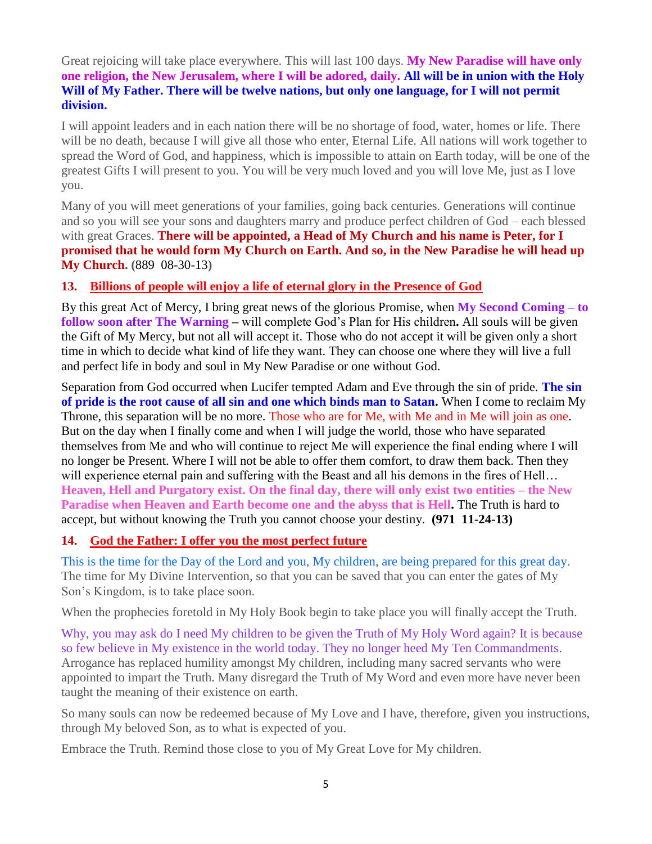Great rejoicing will take place everywhere. This will last 100 days. **My New Paradise will have only one religion, the New Jerusalem, where I will be adored, daily. All will be in union with the Holy Will of My Father. There will be twelve nations, but only one language, for I will not permit division.**

I will appoint leaders and in each nation there will be no shortage of food, water, homes or life. There will be no death, because I will give all those who enter, Eternal Life. All nations will work together to spread the Word of God, and happiness, which is impossible to attain on Earth today, will be one of the greatest Gifts I will present to you. You will be very much loved and you will love Me, just as I love you.

Many of you will meet generations of your families, going back centuries. Generations will continue and so you will see your sons and daughters marry and produce perfect children of God – each blessed with great Graces. **There will be appointed, a Head of My Church and his name is Peter, for I promised that he would form My Church on Earth. And so, in the New Paradise he will head up My Church. (**889 08-30-13**)**

## **13. [Billions of people will enjoy a life of eternal glory in the Presence of God](http://www.thewarningsecondcoming.com/billions-of-people-will-enjoy-a-life-of-eternal-glory-in-the-presence-of-god/)**

By this great Act of Mercy, I bring great news of the glorious Promise, when **My Second Coming – to follow soon after The Warning –** will complete God's Plan for His children**.** All souls will be given the Gift of My Mercy, but not all will accept it. Those who do not accept it will be given only a short time in which to decide what kind of life they want. They can choose one where they will live a full and perfect life in body and soul in My New Paradise or one without God.

Separation from God occurred when Lucifer tempted Adam and Eve through the sin of pride. **The sin of pride is the root cause of all sin and one which binds man to Satan.** When I come to reclaim My Throne, this separation will be no more. Those who are for Me, with Me and in Me will join as one. But on the day when I finally come and when I will judge the world, those who have separated themselves from Me and who will continue to reject Me will experience the final ending where I will no longer be Present. Where I will not be able to offer them comfort, to draw them back. Then they will experience eternal pain and suffering with the Beast and all his demons in the fires of Hell... **Heaven, Hell and Purgatory exist. On the final day, there will only exist two entities – the New Paradise when Heaven and Earth become one and the abyss that is Hell.** The Truth is hard to accept, but without knowing the Truth you cannot choose your destiny. **(971 11-24-13)**

## **14. [God the Father: I offer you the most perfect future](http://www.thewarningsecondcoming.com/god-the-father-i-offer-you-the-most-perfect-future/)**

This is the time for the Day of the Lord and you, My children, are being prepared for this great day. The time for My Divine Intervention, so that you can be saved that you can enter the gates of My Son's Kingdom, is to take place soon.

When the prophecies foretold in My Holy Book begin to take place you will finally accept the Truth.

Why, you may ask do I need My children to be given the Truth of My Holy Word again? It is because so few believe in My existence in the world today. They no longer heed My Ten Commandments. Arrogance has replaced humility amongst My children, including many sacred servants who were appointed to impart the Truth. Many disregard the Truth of My Word and even more have never been taught the meaning of their existence on earth.

So many souls can now be redeemed because of My Love and I have, therefore, given you instructions, through My beloved Son, as to what is expected of you.

Embrace the Truth. Remind those close to you of My Great Love for My children.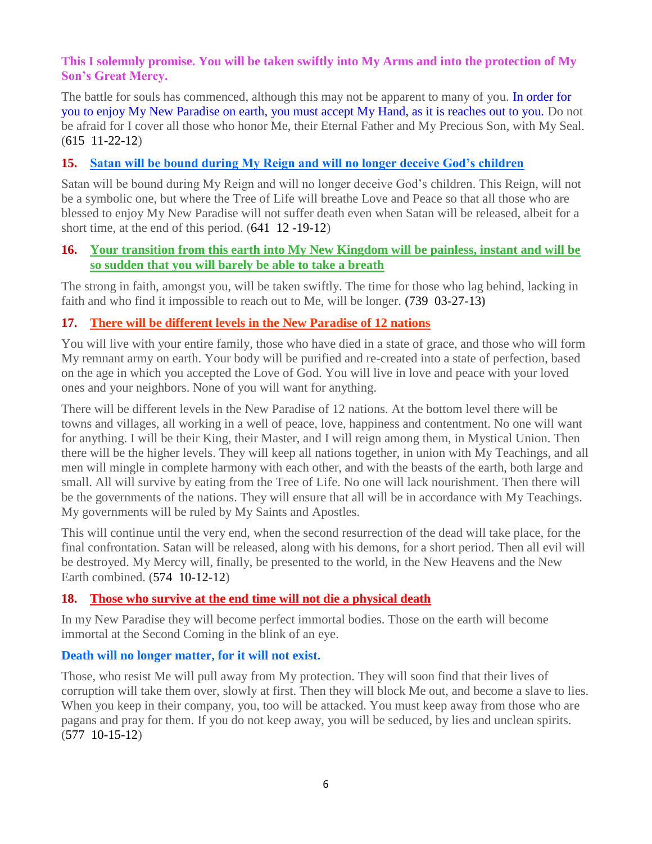## **This I solemnly promise. You will be taken swiftly into My Arms and into the protection of My Son's Great Mercy.**

The battle for souls has commenced, although this may not be apparent to many of you. In order for you to enjoy My New Paradise on earth, you must accept My Hand, as it is reaches out to you. Do not be afraid for I cover all those who honor Me, their Eternal Father and My Precious Son, with My Seal. (615 11-22-12)

## **15. [Satan will be bound during My Reign and will no longer deceive God's children](http://www.thewarningsecondcoming.com/satan-will-be-bound-during-my-reign-and-will-no-longer-deceive-gods-children-2/)**

Satan will be bound during My Reign and will no longer deceive God's children. This Reign, will not be a symbolic one, but where the Tree of Life will breathe Love and Peace so that all those who are blessed to enjoy My New Paradise will not suffer death even when Satan will be released, albeit for a short time, at the end of this period. (641 12 -19-12)

## **16. [Your transition from this earth into My New Kingdom will be painless, instant and will be](http://www.thewarningsecondcoming.com/your-transition-from-this-earth-into-my-new-kingdom-will-be-painless-instant-and-will-be-so-sudden-that-you-will-barely-be-able-to-take-a-breath/)  [so sudden that you will barely be able to take a breath](http://www.thewarningsecondcoming.com/your-transition-from-this-earth-into-my-new-kingdom-will-be-painless-instant-and-will-be-so-sudden-that-you-will-barely-be-able-to-take-a-breath/)**

The strong in faith, amongst you, will be taken swiftly. The time for those who lag behind, lacking in faith and who find it impossible to reach out to Me, will be longer. **(**739 03-27-13**)**

## **17. [There will be different levels in the New Paradise of 12 nations](http://www.thewarningsecondcoming.com/there-will-be-different-levels-in-the-new-paradise-of-12-nations/)**

You will live with your entire family, those who have died in a state of grace, and those who will form My remnant army on earth. Your body will be purified and re-created into a state of perfection, based on the age in which you accepted the Love of God. You will live in love and peace with your loved ones and your neighbors. None of you will want for anything.

There will be different levels in the New Paradise of 12 nations. At the bottom level there will be towns and villages, all working in a well of peace, love, happiness and contentment. No one will want for anything. I will be their King, their Master, and I will reign among them, in Mystical Union. Then there will be the higher levels. They will keep all nations together, in union with My Teachings, and all men will mingle in complete harmony with each other, and with the beasts of the earth, both large and small. All will survive by eating from the Tree of Life. No one will lack nourishment. Then there will be the governments of the nations. They will ensure that all will be in accordance with My Teachings. My governments will be ruled by My Saints and Apostles.

This will continue until the very end, when the second resurrection of the dead will take place, for the final confrontation. Satan will be released, along with his demons, for a short period. Then all evil will be destroyed. My Mercy will, finally, be presented to the world, in the New Heavens and the New Earth combined. (574 10-12-12)

## **18. [Those who survive at the end time will not die a](http://www.thewarningsecondcoming.com/those-who-survive-at-the-end-time-will-not-die-a-physical-death/) physical death**

In my New Paradise they will become perfect immortal bodies. Those on the earth will become immortal at the Second Coming in the blink of an eye.

## **Death will no longer matter, for it will not exist.**

Those, who resist Me will pull away from My protection. They will soon find that their lives of corruption will take them over, slowly at first. Then they will block Me out, and become a slave to lies. When you keep in their company, you, too will be attacked. You must keep away from those who are pagans and pray for them. If you do not keep away, you will be seduced, by lies and unclean spirits. (577 10-15-12)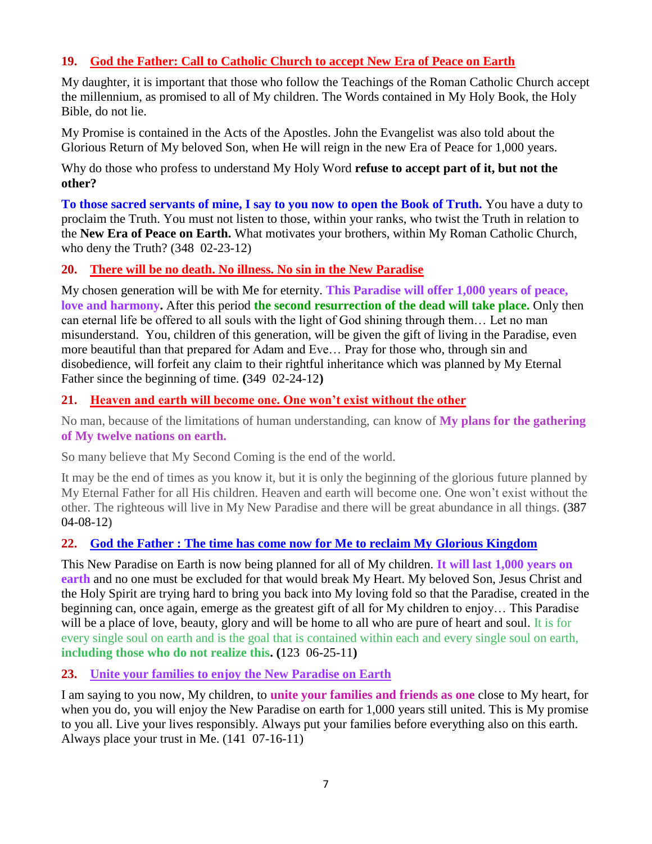## **19. [God the Father: Call to Catholic Church to accept New Era of Peace on Earth](http://www.thewarningsecondcoming.com/god-the-father-call-to-catholic-church-to-accept-new-era-of-peace-on-earth/)**

My daughter, it is important that those who follow the Teachings of the Roman Catholic Church accept the millennium, as promised to all of My children. The Words contained in My Holy Book, the Holy Bible, do not lie.

My Promise is contained in the Acts of the Apostles. John the Evangelist was also told about the Glorious Return of My beloved Son, when He will reign in the new Era of Peace for 1,000 years.

Why do those who profess to understand My Holy Word **refuse to accept part of it, but not the other?**

**To those sacred servants of mine, I say to you now to open the Book of Truth.** You have a duty to proclaim the Truth. You must not listen to those, within your ranks, who twist the Truth in relation to the **New Era of Peace on Earth.** What motivates your brothers, within My Roman Catholic Church, who deny the Truth? (348 02-23-12)

## **20. [There will be no death. No illness. No sin in the New Paradise](http://www.thewarningsecondcoming.com/there-will-be-no-death-no-illness-no-sin-in-the-new-paradise/)**

My chosen generation will be with Me for eternity. **This Paradise will offer 1,000 years of peace, love and harmony.** After this period **the second resurrection of the dead will take place.** Only then can eternal life be offered to all souls with the light of God shining through them… Let no man misunderstand. You, children of this generation, will be given the gift of living in the Paradise, even more beautiful than that prepared for Adam and Eve… Pray for those who, through sin and disobedience, will forfeit any claim to their rightful inheritance which was planned by My Eternal Father since the beginning of time. **(**349 02-24-12**)**

#### **21. [Heaven and earth will become one. One won't exist without the other](http://www.thewarningsecondcoming.com/heaven-and-earth-will-become-one-one-wont-exist-without-the-other/)**

No man, because of the limitations of human understanding, can know of **My plans for the gathering of My twelve nations on earth.**

So many believe that My Second Coming is the end of the world.

It may be the end of times as you know it, but it is only the beginning of the glorious future planned by My Eternal Father for all His children. Heaven and earth will become one. One won't exist without the other. The righteous will live in My New Paradise and there will be great abundance in all things. **(**387 04-08-12**)**

## **22. God the Father : The time has come now for Me to reclaim My Glorious Kingdom**

This New Paradise on Earth is now being planned for all of My children. **It will last 1,000 years on earth** and no one must be excluded for that would break My Heart. My beloved Son, Jesus Christ and the Holy Spirit are trying hard to bring you back into My loving fold so that the Paradise, created in the beginning can, once again, emerge as the greatest gift of all for My children to enjoy… This Paradise will be a place of love, beauty, glory and will be home to all who are pure of heart and soul. It is for every single soul on earth and is the goal that is contained within each and every single soul on earth, **including those who do not realize this. (**123 06-25-11**)**

## **23. [Unite your families to enjoy the New Paradise on Earth](http://www.thewarningsecondcoming.com/unite-your-families-to-enjoy-the-new-paradise-on-earth/)**

I am saying to you now, My children, to **unite your families and friends as one** close to My heart, for when you do, you will enjoy the New Paradise on earth for 1,000 years still united. This is My promise to you all. Live your lives responsibly. Always put your families before everything also on this earth. Always place your trust in Me. (141 07-16-11)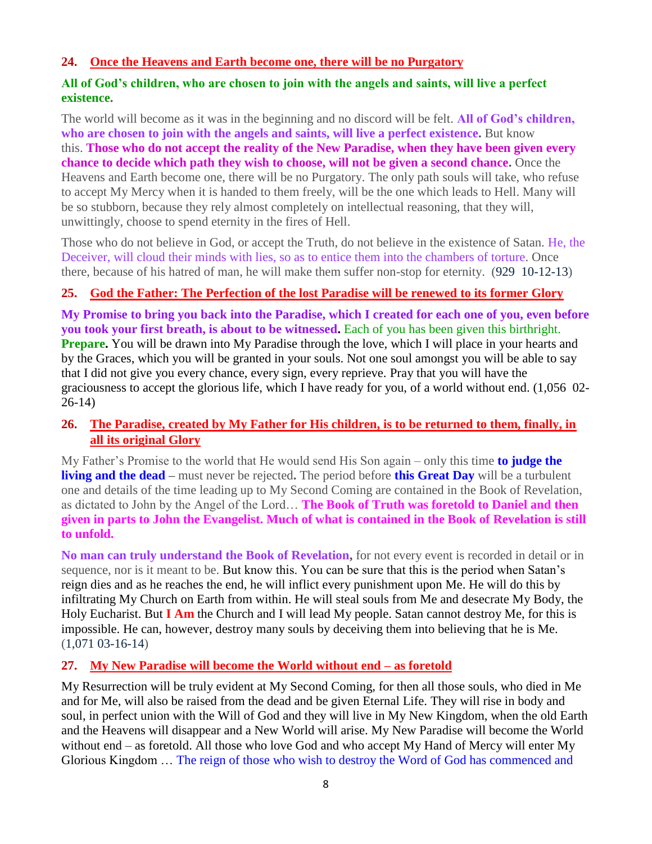## **24. [Once the Heavens and Earth become one, there will](http://www.thewarningsecondcoming.com/once-the-heavens-and-earth-become-one-there-will-be-no-purgatory/) be no Purgatory**

#### **All of God's children, who are chosen to join with the angels and saints, will live a perfect existence.**

The world will become as it was in the beginning and no discord will be felt. **All of God's children, who are chosen to join with the angels and saints, will live a perfect existence.** But know this. **Those who do not accept the reality of the New Paradise, when they have been given every chance to decide which path they wish to choose, will not be given a second chance.** Once the Heavens and Earth become one, there will be no Purgatory. The only path souls will take, who refuse to accept My Mercy when it is handed to them freely, will be the one which leads to Hell. Many will be so stubborn, because they rely almost completely on intellectual reasoning, that they will, unwittingly, choose to spend eternity in the fires of Hell.

Those who do not believe in God, or accept the Truth, do not believe in the existence of Satan. He, the Deceiver, will cloud their minds with lies, so as to entice them into the chambers of torture. Once there, because of his hatred of man, he will make them suffer non-stop for eternity. (929 10-12-13)

## **25. [God the Father: The Perfection of the lost Paradise will be renewed to its former Glory](http://www.thewarningsecondcoming.com/god-the-father-the-perfection-of-the-lost-paradise-will-be-renewed-to-its-former-glory/)**

**My Promise to bring you back into the Paradise, which I created for each one of you, even before you took your first breath, is about to be witnessed.** Each of you has been given this birthright. **Prepare.** You will be drawn into My Paradise through the love, which I will place in your hearts and by the Graces, which you will be granted in your souls. Not one soul amongst you will be able to say that I did not give you every chance, every sign, every reprieve. Pray that you will have the graciousness to accept the glorious life, which I have ready for you, of a world without end. (1,056 02- 26-14)

## **26. [The Paradise, created by My Father for His children, is to be returned to them, finally, in](http://www.thewarningsecondcoming.com/the-paradise-created-by-my-father-for-his-children-is-to-be-returned-to-them-finally-in-all-its-original-glory/)  [all its original Glory](http://www.thewarningsecondcoming.com/the-paradise-created-by-my-father-for-his-children-is-to-be-returned-to-them-finally-in-all-its-original-glory/)**

My Father's Promise to the world that He would send His Son again – only this time **to judge the living and the dead –** must never be rejected**.** The period before **this Great Day** will be a turbulent one and details of the time leading up to My Second Coming are contained in the Book of Revelation, as dictated to John by the Angel of the Lord… **The Book of Truth was foretold to Daniel and then given in parts to John the Evangelist. Much of what is contained in the Book of Revelation is still to unfold.**

**No man can truly understand the Book of Revelation,** for not every event is recorded in detail or in sequence, nor is it meant to be. But know this. You can be sure that this is the period when Satan's reign dies and as he reaches the end, he will inflict every punishment upon Me. He will do this by infiltrating My Church on Earth from within. He will steal souls from Me and desecrate My Body, the Holy Eucharist. But **I Am** the Church and I will lead My people. Satan cannot destroy Me, for this is impossible. He can, however, destroy many souls by deceiving them into believing that he is Me. (1,071 03-16-14)

## **27. [My New Paradise will become the World without end –](http://www.thewarningsecondcoming.com/my-new-paradise-will-become-the-world-without-end-as-foretold/) as foretold**

My Resurrection will be truly evident at My Second Coming, for then all those souls, who died in Me and for Me, will also be raised from the dead and be given Eternal Life. They will rise in body and soul, in perfect union with the Will of God and they will live in My New Kingdom, when the old Earth and the Heavens will disappear and a New World will arise. My New Paradise will become the World without end – as foretold. All those who love God and who accept My Hand of Mercy will enter My Glorious Kingdom … The reign of those who wish to destroy the Word of God has commenced and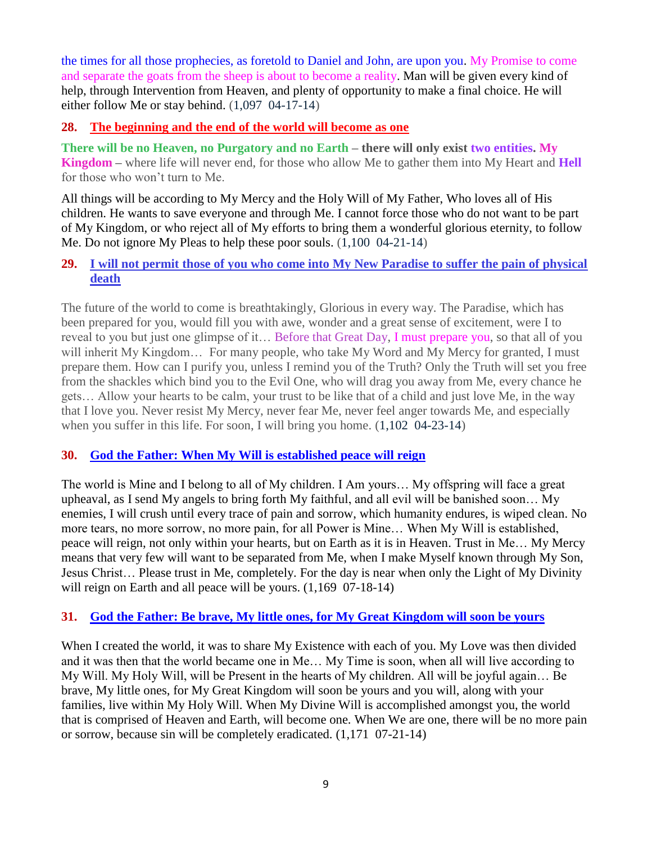the times for all those prophecies, as foretold to Daniel and John, are upon you. My Promise to come and separate the goats from the sheep is about to become a reality. Man will be given every kind of help, through Intervention from Heaven, and plenty of opportunity to make a final choice. He will either follow Me or stay behind. (1,097 04-17-14)

## **28. [The beginning and the end of the world will become as one](http://www.thewarningsecondcoming.com/the-beginning-and-the-end-of-the-world-will-become-as-one/)**

**There will be no Heaven, no Purgatory and no Earth – there will only exist two entities. My Kingdom –** where life will never end, for those who allow Me to gather them into My Heart and **Hell** for those who won't turn to Me.

All things will be according to My Mercy and the Holy Will of My Father, Who loves all of His children. He wants to save everyone and through Me. I cannot force those who do not want to be part of My Kingdom, or who reject all of My efforts to bring them a wonderful glorious eternity, to follow Me. Do not ignore My Pleas to help these poor souls. (1,100 04-21-14)

## **29. [I will not permit those of you who come into My New Paradise to suffer the pain of physical](http://www.thewarningsecondcoming.com/mother-of-salvation-the-truth-will-be-twisted-and-the-word-of-god-will-be-presented-back-to-front/)  [death](http://www.thewarningsecondcoming.com/mother-of-salvation-the-truth-will-be-twisted-and-the-word-of-god-will-be-presented-back-to-front/)**

The future of the world to come is breathtakingly, Glorious in every way. The Paradise, which has been prepared for you, would fill you with awe, wonder and a great sense of excitement, were I to reveal to you but just one glimpse of it… Before that Great Day, I must prepare you, so that all of you will inherit My Kingdom... For many people, who take My Word and My Mercy for granted, I must prepare them. How can I purify you, unless I remind you of the Truth? Only the Truth will set you free from the shackles which bind you to the Evil One, who will drag you away from Me, every chance he gets… Allow your hearts to be calm, your trust to be like that of a child and just love Me, in the way that I love you. Never resist My Mercy, never fear Me, never feel anger towards Me, and especially when you suffer in this life. For soon, I will bring you home.  $(1,102 \ 04-23-14)$ 

## **30. [God the Father: When My Will is established peace will reign](http://www.thewarningsecondcoming.com/god-the-father-when-my-will-is-established-peace-will-reign/)**

The world is Mine and I belong to all of My children. I Am yours… My offspring will face a great upheaval, as I send My angels to bring forth My faithful, and all evil will be banished soon… My enemies, I will crush until every trace of pain and sorrow, which humanity endures, is wiped clean. No more tears, no more sorrow, no more pain, for all Power is Mine… When My Will is established, peace will reign, not only within your hearts, but on Earth as it is in Heaven. Trust in Me… My Mercy means that very few will want to be separated from Me, when I make Myself known through My Son, Jesus Christ… Please trust in Me, completely. For the day is near when only the Light of My Divinity will reign on Earth and all peace will be yours.  $(1,169 \t07-18-14)$ 

## **31. [God the Father: Be brave, My little ones, for My Great Kingdom will soon be yours](http://www.thewarningsecondcoming.com/god-the-father-be-brave-my-little-ones-for-my-great-kingdom-will-soon-be-yours/)**

When I created the world, it was to share My Existence with each of you. My Love was then divided and it was then that the world became one in Me… My Time is soon, when all will live according to My Will. My Holy Will, will be Present in the hearts of My children. All will be joyful again… Be brave, My little ones, for My Great Kingdom will soon be yours and you will, along with your families, live within My Holy Will. When My Divine Will is accomplished amongst you, the world that is comprised of Heaven and Earth, will become one. When We are one, there will be no more pain or sorrow, because sin will be completely eradicated. (1,171 07-21-14)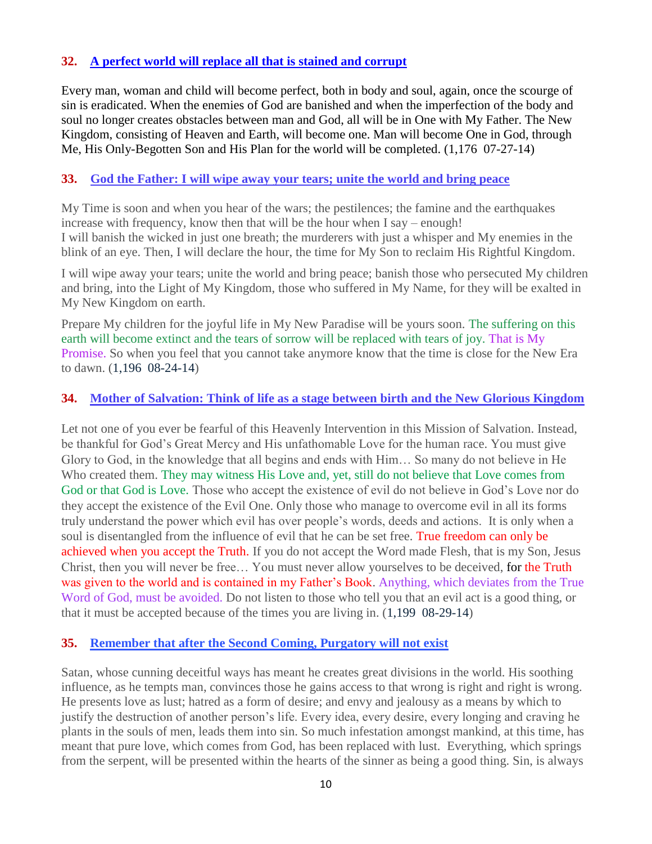## **32. [A perfect world will replace all that is stained and corrupt](http://www.thewarningsecondcoming.com/a-perfect-world-will-replace-all-that-is-stained-and-corrupt/)**

Every man, woman and child will become perfect, both in body and soul, again, once the scourge of sin is eradicated. When the enemies of God are banished and when the imperfection of the body and soul no longer creates obstacles between man and God, all will be in One with My Father. The New Kingdom, consisting of Heaven and Earth, will become one. Man will become One in God, through Me, His Only-Begotten Son and His Plan for the world will be completed. (1,176 07-27-14)

## **33. [God the Father: I will wipe away your tears; unite the world and bring peace](http://www.thewarningsecondcoming.com/god-the-father-i-will-wipe-away-your-tears-unite-the-world-and-bring-peace/)**

My Time is soon and when you hear of the wars; the pestilences; the famine and the earthquakes increase with frequency, know then that will be the hour when I say – enough! I will banish the wicked in just one breath; the murderers with just a whisper and My enemies in the blink of an eye. Then, I will declare the hour, the time for My Son to reclaim His Rightful Kingdom.

I will wipe away your tears; unite the world and bring peace; banish those who persecuted My children and bring, into the Light of My Kingdom, those who suffered in My Name, for they will be exalted in My New Kingdom on earth.

Prepare My children for the joyful life in My New Paradise will be yours soon. The suffering on this earth will become extinct and the tears of sorrow will be replaced with tears of joy. That is My Promise. So when you feel that you cannot take anymore know that the time is close for the New Era to dawn. (1,196 08-24-14)

#### **34. [Mother of Salvation: Think of life as a stage between birth and the New Glorious Kingdom](http://www.thewarningsecondcoming.com/mother-of-salvation-think-of-life-as-a-stage-between-birth-and-the-new-glorious-kingdom/)**

Let not one of you ever be fearful of this Heavenly Intervention in this Mission of Salvation. Instead, be thankful for God's Great Mercy and His unfathomable Love for the human race. You must give Glory to God, in the knowledge that all begins and ends with Him… So many do not believe in He Who created them. They may witness His Love and, yet, still do not believe that Love comes from God or that God is Love. Those who accept the existence of evil do not believe in God's Love nor do they accept the existence of the Evil One. Only those who manage to overcome evil in all its forms truly understand the power which evil has over people's words, deeds and actions. It is only when a soul is disentangled from the influence of evil that he can be set free. True freedom can only be achieved when you accept the Truth. If you do not accept the Word made Flesh, that is my Son, Jesus Christ, then you will never be free… You must never allow yourselves to be deceived, for the Truth was given to the world and is contained in my Father's Book. Anything, which deviates from the True Word of God, must be avoided. Do not listen to those who tell you that an evil act is a good thing, or that it must be accepted because of the times you are living in. (1,199 08-29-14)

#### **35. [Remember that after the Second Coming, Purgatory will not exist](http://www.thewarningsecondcoming.com/remember-that-after-the-second-coming-purgatory-will-not-exist/)**

Satan, whose cunning deceitful ways has meant he creates great divisions in the world. His soothing influence, as he tempts man, convinces those he gains access to that wrong is right and right is wrong. He presents love as lust; hatred as a form of desire; and envy and jealousy as a means by which to justify the destruction of another person's life. Every idea, every desire, every longing and craving he plants in the souls of men, leads them into sin. So much infestation amongst mankind, at this time, has meant that pure love, which comes from God, has been replaced with lust. Everything, which springs from the serpent, will be presented within the hearts of the sinner as being a good thing. Sin, is always